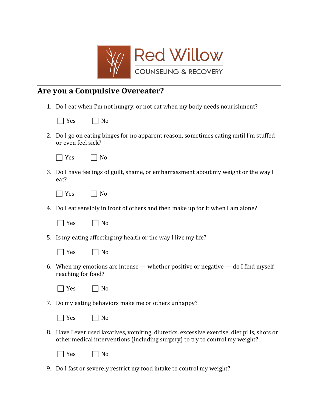

## Are you a Compulsive Overeater?

1. Do I eat when I'm not hungry, or not eat when my body needs nourishment?

| n n | N٥<br>- |
|-----|---------|
|-----|---------|

2. Do I go on eating binges for no apparent reason, sometimes eating until I'm stuffed or even feel sick?

| $\sqrt{2}$ | N٥ |
|------------|----|
|------------|----|

3. Do I have feelings of guilt, shame, or embarrassment about my weight or the way I eat?

| es | N٥ |
|----|----|
|----|----|

4. Do I eat sensibly in front of others and then make up for it when I am alone?

| $\sqrt{ }$ | N٥<br>- |
|------------|---------|
|------------|---------|

5. Is my eating affecting my health or the way I live my life?

| $\sim$ | n<br>N |
|--------|--------|
|--------|--------|

6. When my emotions are intense — whether positive or negative — do I find myself reaching for food?

| $\mathbf{\hat{z}}$ | റ<br>V.<br>- |
|--------------------|--------------|
|--------------------|--------------|

7. Do my eating behaviors make me or others unhappy?

|  | $\sqrt{ }$ |  | റ<br>N.<br>- |
|--|------------|--|--------------|
|--|------------|--|--------------|

8. Have I ever used laxatives, vomiting, diuretics, excessive exercise, diet pills, shots or other medical interventions (including surgery) to try to control my weight?

9. Do I fast or severely restrict my food intake to control my weight?